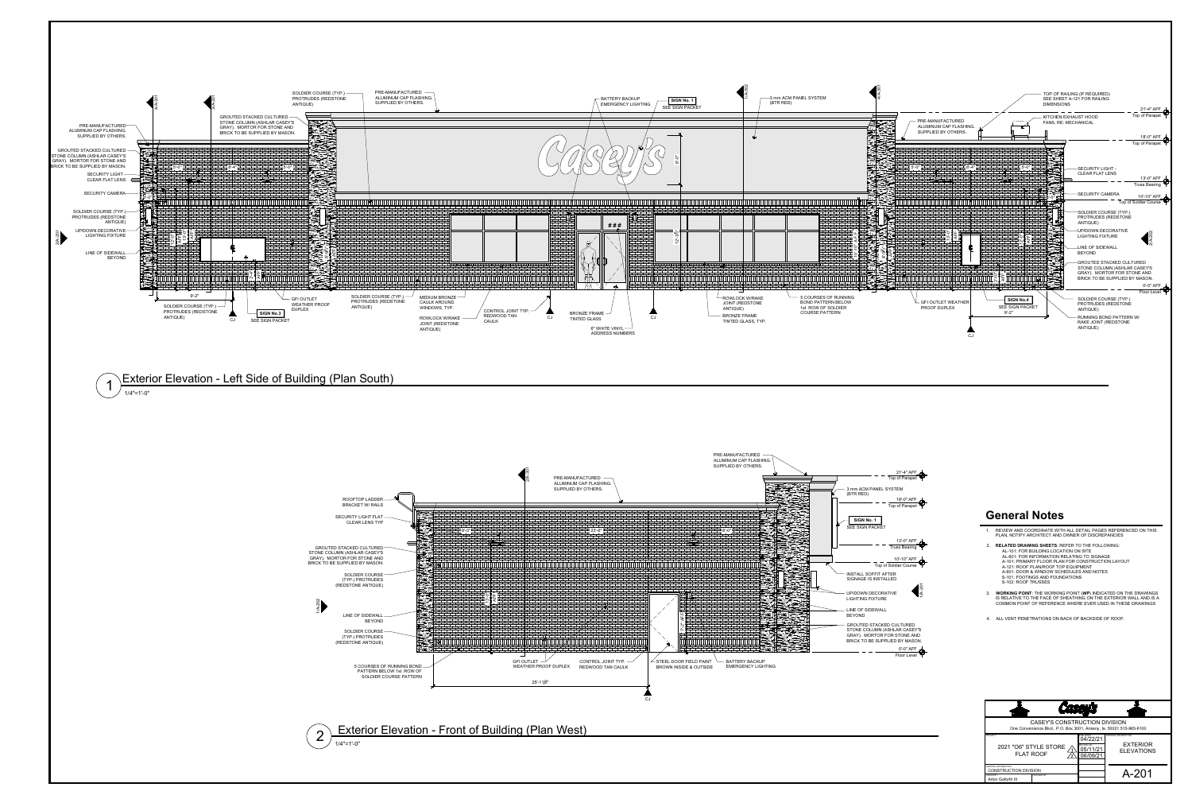

- 
- 
- 
- 
- 
- 
- 
- 

|                                                                                                              |  | <b>Casey's</b>                                                |                                                                     |
|--------------------------------------------------------------------------------------------------------------|--|---------------------------------------------------------------|---------------------------------------------------------------------|
| <b>CASEY'S CONSTRUCTION DIVISION</b><br>One Convenience Blvd., P.O. Box 3001, Ankeny, la. 50021 515-965-6100 |  |                                                               |                                                                     |
| PROJECT:<br>2021 "O6" STYLE STORE<br><b>FLAT ROOF</b>                                                        |  | PUBLISHED:<br>04/22/21<br>REVISED ON:<br>05/11/21<br>06/09/21 | <b>DRAWING INFORMATION:</b><br><b>EXTERIOR</b><br><b>ELEVATIONS</b> |
| DRAWING INFORMATION:<br><b>CONSTRUCTION DIVISION</b><br>CHECKED BY:<br>DRAWN BY:<br>Arlon Goforth III        |  |                                                               | A-201                                                               |